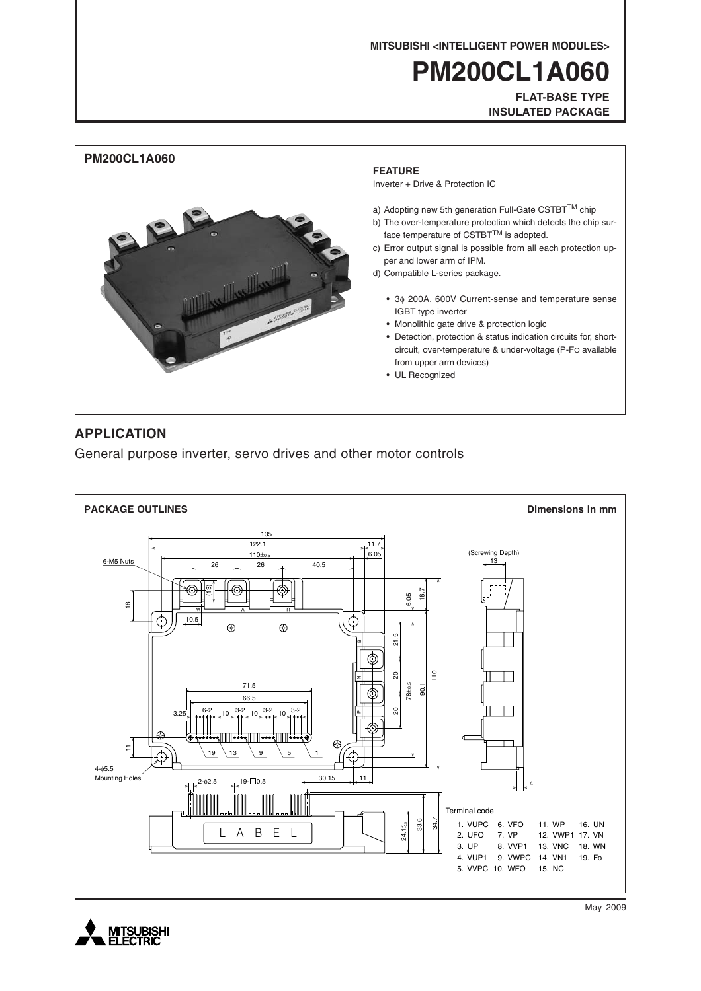**MITSUBISHI <INTELLIGENT POWER MODULES>**

# **PM200CL1A060**

**FLAT-BASE TYPE INSULATED PACKAGE**



### **APPLICATION**

General purpose inverter, servo drives and other motor controls





May 2009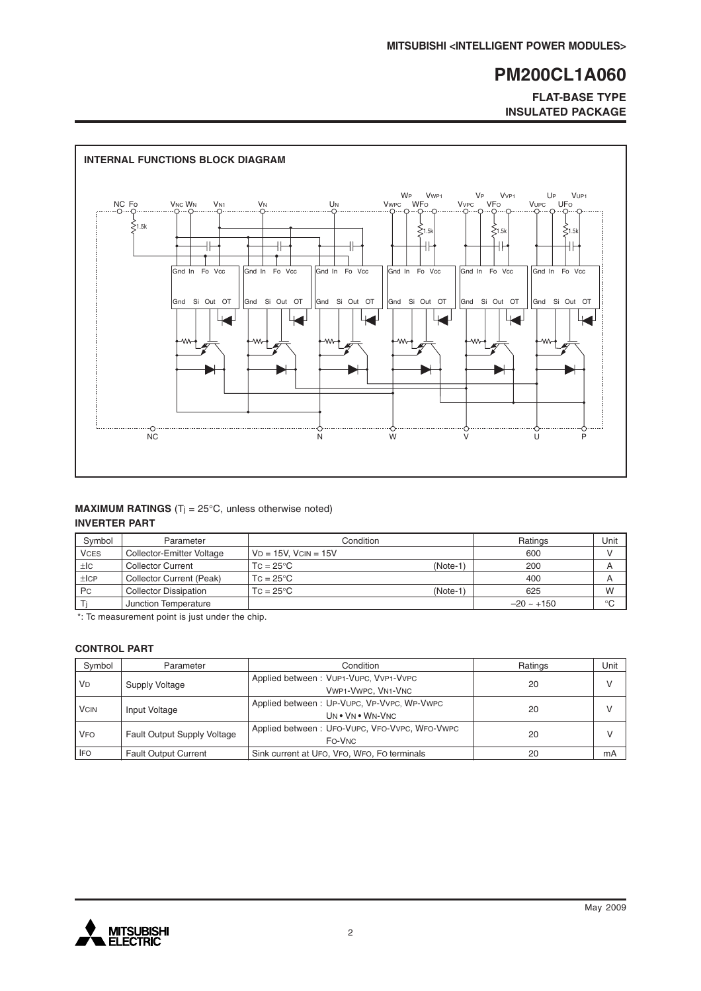### **FLAT-BASE TYPE INSULATED PACKAGE**



### **MAXIMUM RATINGS** (T<sub>j</sub> =  $25^{\circ}$ C, unless otherwise noted) **INVERTER PART**

| Symbol      | Parameter                    | Condition                     | Ratings         | Unit |
|-------------|------------------------------|-------------------------------|-----------------|------|
| <b>VCES</b> | Collector-Emitter Voltage    | $VD = 15V$ . $VCN = 15V$      | 600             |      |
| ±IC         | <b>Collector Current</b>     | (Note-1<br>$TC = 25^{\circ}C$ | 200             | A    |
| ±ICP        | Collector Current (Peak)     | $TC = 25^{\circ}C$            | 400             | A    |
| Pc          | <b>Collector Dissipation</b> | $TC = 25^{\circ}C$<br>(Note-1 | 625             | W    |
|             | Junction Temperature         |                               | $-20 \sim +150$ | °C   |

\*: Tc measurement point is just under the chip.

### **CONTROL PART**

| Symbol               | Parameter                          | Condition                                                      | Ratings | Unit |
|----------------------|------------------------------------|----------------------------------------------------------------|---------|------|
| <b>V<sub>D</sub></b> | Supply Voltage                     | Applied between: VUP1-VUPC, VVP1-VVPC<br>VWP1-VWPC, VN1-VNC    | 20      | v    |
| <b>VCIN</b>          | Input Voltage                      | Applied between: UP-VUPC, VP-VVPC, WP-VWPC<br>UN . VN . WN-VNC | 20      | V    |
| <b>VFO</b>           | <b>Fault Output Supply Voltage</b> | Applied between: UFO-VUPC, VFO-VVPC, WFO-VWPC<br>FO-VNC        | 20      |      |
| <b>IFO</b>           | <b>Fault Output Current</b>        | Sink current at UFO, VFO, WFO, FO terminals                    | 20      | mA   |

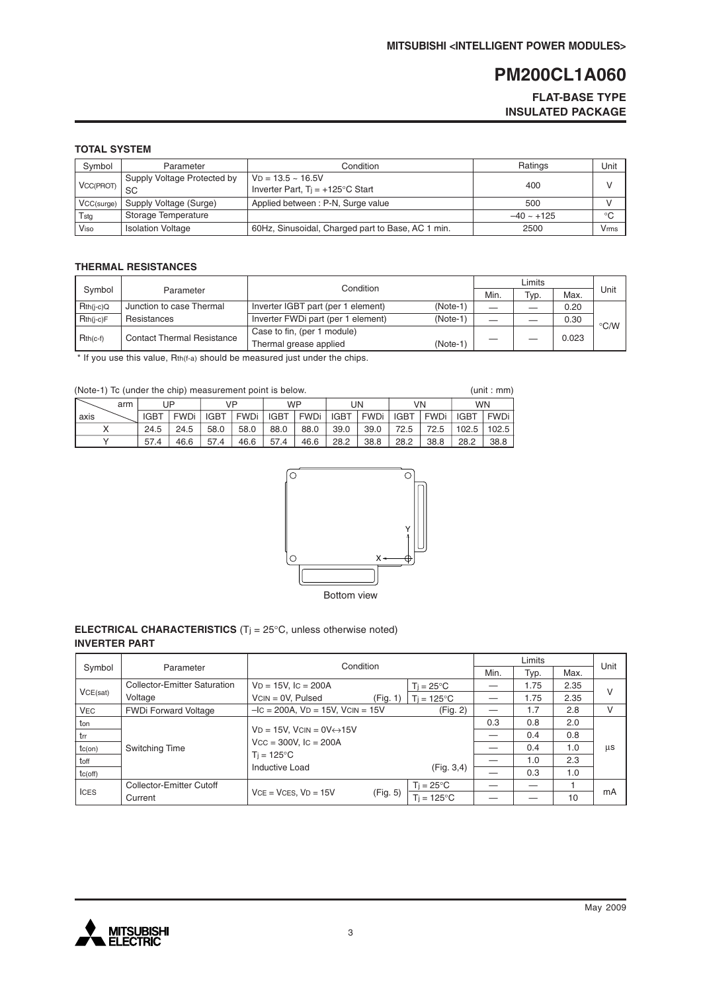### **FLAT-BASE TYPE INSULATED PACKAGE**

### **TOTAL SYSTEM**

| Symbol     | Parameter                         | Condition                                                        | Ratings         | Unit |
|------------|-----------------------------------|------------------------------------------------------------------|-----------------|------|
| VCC(PROT)  | Supply Voltage Protected by<br>SC | $VD = 13.5 - 16.5V$<br>Inverter Part, $Ti = +125^{\circ}C$ Start | 400             |      |
| VCC(surge) | Supply Voltage (Surge)            | Applied between: P-N, Surge value                                | 500             |      |
| Tstg       | Storage Temperature               |                                                                  | $-40 \sim +125$ | °C   |
| Viso       | <b>Isolation Voltage</b>          | 60Hz, Sinusoidal, Charged part to Base, AC 1 min.                | 2500            | Vrms |

#### **THERMAL RESISTANCES**

|             |                                   | Condition                          |            |      |      |       |                    |
|-------------|-----------------------------------|------------------------------------|------------|------|------|-------|--------------------|
| Symbol      | Parameter                         |                                    |            | Min. | Typ. | Max.  | Unit               |
| $Rth(i-c)Q$ | Junction to case Thermal          | Inverter IGBT part (per 1 element) | $(Note-1)$ |      |      | 0.20  |                    |
| $Rth(i-c)F$ | Resistances                       | Inverter FWDi part (per 1 element) | $(Note-1)$ |      |      | 0.30  | $\rm ^{\circ}$ C/W |
| $Rth(c-f)$  | <b>Contact Thermal Resistance</b> | Case to fin, (per 1 module)        |            |      |      | 0.023 |                    |
|             |                                   | Thermal grease applied             | $(Note-1)$ |      |      |       |                    |

\* If you use this value, Rth(f-a) should be measured just under the chips.

| (Note-1) To (under the chip) measurement point is below. |     |             |        |             |             |             |             |             |             | (unit : mm) |        |             |       |
|----------------------------------------------------------|-----|-------------|--------|-------------|-------------|-------------|-------------|-------------|-------------|-------------|--------|-------------|-------|
|                                                          | arm |             | JP     |             | VP          |             | <b>WP</b>   |             | UN          | VN          |        | <b>WN</b>   |       |
| axis                                                     |     | <b>IGBT</b> | FWDi l | <b>IGBT</b> | <b>FWDi</b> | <b>IGBT</b> | <b>FWDi</b> | <b>IGBT</b> | <b>FWDi</b> | <b>IGBT</b> | l FWDi | <b>IGBT</b> | FWDi  |
|                                                          |     | 24.5        | 24.5   | 58.0        | 58.0        | 88.0        | 88.0        | 39.0        | 39.0        | 72.5        | 72.5   | 102.5       | 102.5 |
|                                                          |     | 57.4        | 46.6   | 57.4        | 46.6        | 57.4        | 46.6        | 28.2        | 38.8        | 28.2        | 38.8   | 28.2        | 38.8  |



#### **ELECTRICAL CHARACTERISTICS** (Tj = 25°C, unless otherwise noted) **INVERTER PART**

|              |                              | Condition                                          |          |                     |     | Unit |      |    |
|--------------|------------------------------|----------------------------------------------------|----------|---------------------|-----|------|------|----|
| Symbol       | Parameter                    |                                                    |          |                     |     | Typ. | Max. |    |
|              | Collector-Emitter Saturation | $VD = 15V$ , $IC = 200A$                           |          | $Ti = 25^{\circ}C$  |     | 1.75 | 2.35 | v  |
| VCE(sat)     | Voltage                      | $VCN = OV, Pulsed$                                 | (Fig. 1) | $Ti = 125^{\circ}C$ |     | 1.75 | 2.35 |    |
| <b>VEC</b>   | <b>FWDi Forward Voltage</b>  | $-IC = 200A$ , $VD = 15V$ , $VCIN = 15V$           |          | (Fig. 2)            |     | 1.7  | 2.8  | v  |
| ton          |                              |                                                    |          |                     | 0.3 | 0.8  | 2.0  |    |
| l trr        |                              | $VD = 15V$ , $VCIN = OV \leftrightarrow 15V$       |          |                     |     | 0.4  | 0.8  |    |
| $tc($ on $)$ | Switching Time               | $Vcc = 300V$ , $lc = 200A$<br>$T_i = 125^{\circ}C$ |          |                     |     | 0.4  | 1.0  | μs |
| toff         |                              |                                                    |          |                     |     | 1.0  | 2.3  |    |
| tc(off)      |                              | Inductive Load                                     |          | (Fig. 3, 4)         |     | 0.3  | 1.0  |    |
|              | Collector-Emitter Cutoff     |                                                    |          | $T_i = 25^{\circ}C$ |     |      |      |    |
| <b>ICES</b>  | Current                      | $VCE = VCES, VD = 15V$                             | (Fig. 5) | $Ti = 125^{\circ}C$ |     |      | 10   | mA |

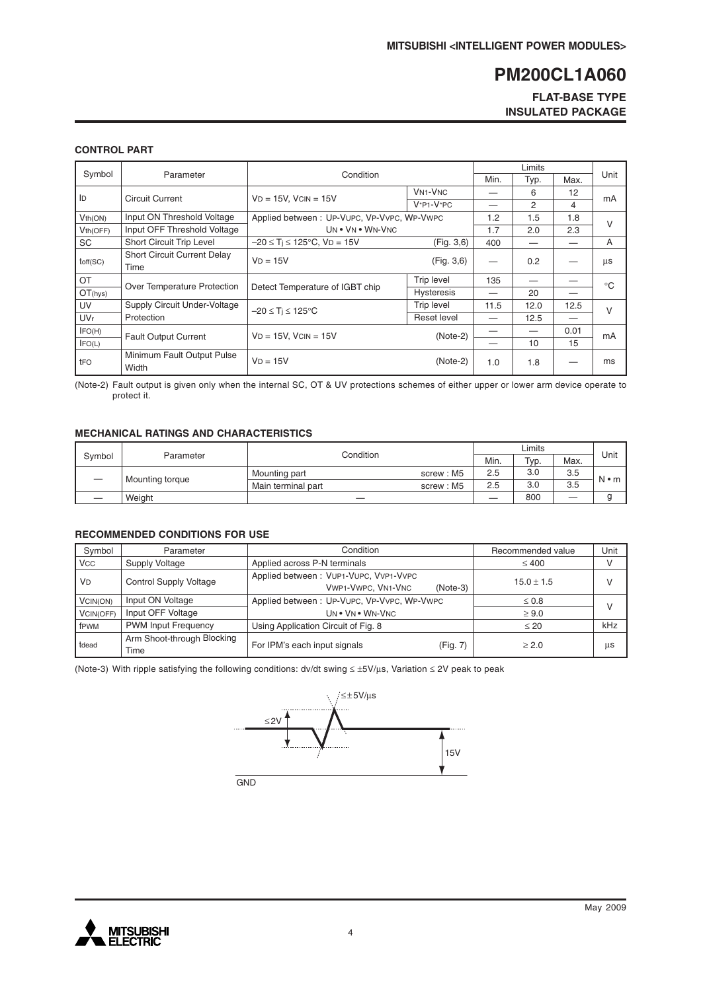### **FLAT-BASE TYPE INSULATED PACKAGE**

### **CONTROL PART**

| Symbol                | Parameter                                  | Condition                                  |                                      | Min. | Typ. | Max. | Unit         |
|-----------------------|--------------------------------------------|--------------------------------------------|--------------------------------------|------|------|------|--------------|
| ID                    | <b>Circuit Current</b>                     | $VD = 15V$ , $VCIN = 15V$                  | <b>VN<sub>1</sub>-V<sub>NC</sub></b> |      | 6    | 12   |              |
|                       |                                            |                                            | $V^*P1-V^*PC$                        |      | 2    | 4    | mA           |
| Vth(ON)               | Input ON Threshold Voltage                 | Applied between: UP-VUPC, VP-VVPC, WP-VWPC |                                      | 1.2  | 1.5  | 1.8  | $\vee$       |
| Vth(OFF)              | Input OFF Threshold Voltage                | UN . VN . WN-VNC                           |                                      | 1.7  | 2.0  | 2.3  |              |
| SC                    | Short Circuit Trip Level                   | $-20 \le T_i \le 125$ °C, VD = 15V         | (Fig. 3,6)                           | 400  |      |      | A            |
| toff(SC)              | <b>Short Circuit Current Delay</b><br>Time | $VD = 15V$                                 | (Fig. 3, 6)                          |      | 0.2  |      | μs           |
| OT                    | Over Temperature Protection                | Detect Temperature of IGBT chip            | Trip level                           | 135  |      |      | $^{\circ}$ C |
| OT(hys)               |                                            |                                            | <b>Hysteresis</b>                    |      | 20   |      |              |
| UV                    | Supply Circuit Under-Voltage               | $-20 \leq T_i \leq 125^{\circ}C$           | <b>Trip level</b>                    | 11.5 | 12.0 | 12.5 | $\vee$       |
| <b>UV<sub>r</sub></b> | Protection                                 |                                            | Reset level                          |      | 12.5 |      |              |
| IFO(H)                | <b>Fault Output Current</b>                | $VD = 15V$ , $VCIN = 15V$                  | $(Note-2)$                           |      |      | 0.01 | mA           |
| IFO(L)                |                                            |                                            |                                      |      | 10   | 15   |              |
| tFO                   | Minimum Fault Output Pulse<br>Width        | $VD = 15V$                                 | $(Note-2)$                           | 1.0  | 1.8  |      | ms           |

(Note-2) Fault output is given only when the internal SC, OT & UV protections schemes of either upper or lower arm device operate to protect it.

#### **MECHANICAL RATINGS AND CHARACTERISTICS**

|        |                        |                    |           | Unit |                 |      |             |
|--------|------------------------|--------------------|-----------|------|-----------------|------|-------------|
| Symbol | Condition<br>Parameter |                    |           | Min. | <sup>Тур.</sup> | Max. |             |
|        | Mounting torque        | Mounting part      | screw: M5 | 2.5  | 3.0             | 3.5  | $N \cdot m$ |
|        |                        | Main terminal part | screw: M5 | 2.5  | 3.0             | 3.5  |             |
|        | Weight                 |                    |           |      | 800             |      |             |

#### **RECOMMENDED CONDITIONS FOR USE**

| Symbol     | Parameter                          | Condition                                                                 | Recommended value | Unit   |
|------------|------------------------------------|---------------------------------------------------------------------------|-------------------|--------|
| <b>VCC</b> | Supply Voltage                     | Applied across P-N terminals                                              | $\leq 400$        |        |
| <b>VD</b>  | <b>Control Supply Voltage</b>      | Applied between: VUP1-VUPC, VVP1-VVPC<br>VWP1-VWPC, VN1-VNC<br>$(Note-3)$ | $15.0 \pm 1.5$    | V      |
| VCIN(ON)   | Input ON Voltage                   | Applied between: UP-VUPC, VP-VVPC, WP-VWPC                                | $\leq 0.8$        | $\vee$ |
| VCIN(OFF)  | Input OFF Voltage                  | UN . VN . WN-VNC                                                          | $\geq 9.0$        |        |
| fPWM       | <b>PWM Input Frequency</b>         | Using Application Circuit of Fig. 8                                       | $\leq 20$         | kHz    |
| tdead      | Arm Shoot-through Blocking<br>Time | For IPM's each input signals<br>(Fig. 7)                                  | > 2.0             | μs     |

(Note-3) With ripple satisfying the following conditions: dv/dt swing ≤ ±5V/µs, Variation ≤ 2V peak to peak



GN<sub>D</sub>

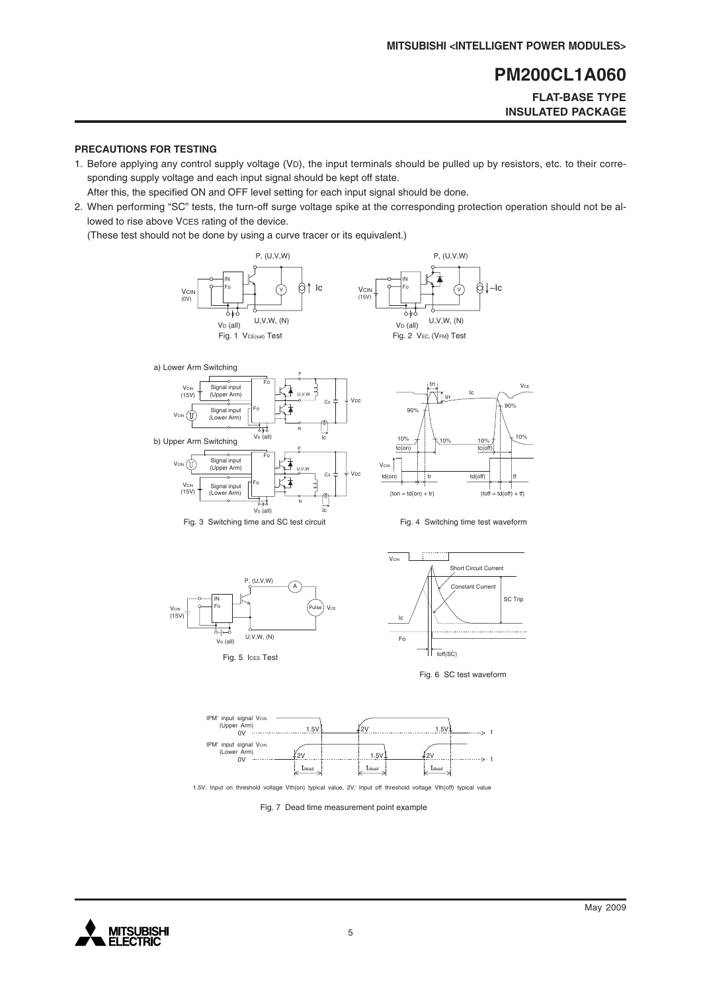**FLAT-BASE TYPE INSULATED PACKAGE**

#### **PRECAUTIONS FOR TESTING**

1. Before applying any control supply voltage (VD), the input terminals should be pulled up by resistors, etc. to their corresponding supply voltage and each input signal should be kept off state.

After this, the specified ON and OFF level setting for each input signal should be done.

2. When performing "SC" tests, the turn-off surge voltage spike at the corresponding protection operation should not be allowed to rise above VCES rating of the device.

(These test should not be done by using a curve tracer or its equivalent.)















1.5V: Input on threshold voltage Vth(on) typical value, 2V: Input off threshold voltage Vth(off) typical value

Fig. 7 Dead time measurement point example

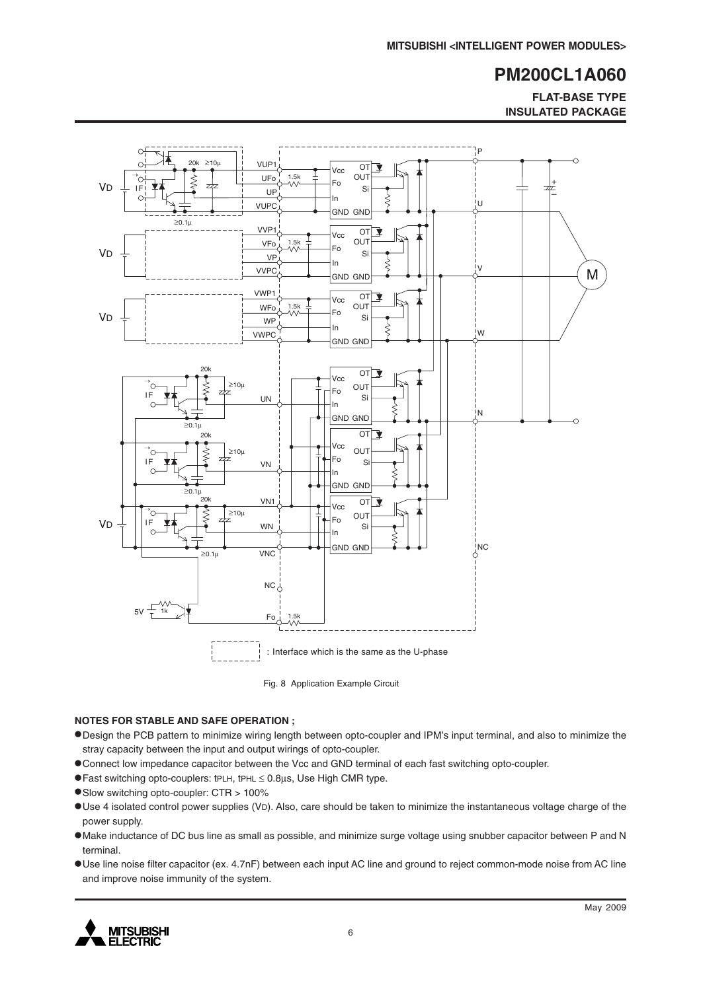**FLAT-BASE TYPE INSULATED PACKAGE**



Fig. 8 Application Example Circuit

#### **NOTES FOR STABLE AND SAFE OPERATION ;**

- •Design the PCB pattern to minimize wiring length between opto-coupler and IPM's input terminal, and also to minimize the stray capacity between the input and output wirings of opto-coupler.
- •Connect low impedance capacitor between the Vcc and GND terminal of each fast switching opto-coupler.
- •Fast switching opto-couplers: tPLH, tPHL <sup>≤</sup> 0.8µs, Use High CMR type.
- •Slow switching opto-coupler: CTR > 100%
- •Use 4 isolated control power supplies (VD). Also, care should be taken to minimize the instantaneous voltage charge of the power supply.
- •Make inductance of DC bus line as small as possible, and minimize surge voltage using snubber capacitor between P and N terminal.
- •Use line noise filter capacitor (ex. 4.7nF) between each input AC line and ground to reject common-mode noise from AC line and improve noise immunity of the system.

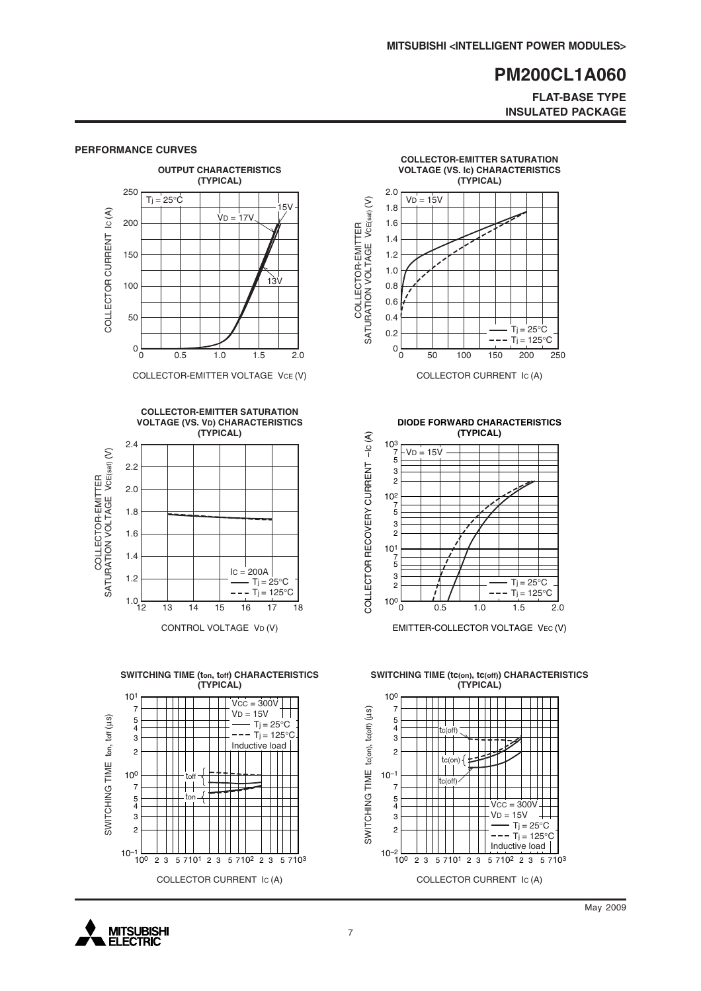#### **FLAT-BASE TYPE INSULATED PACKAGE**



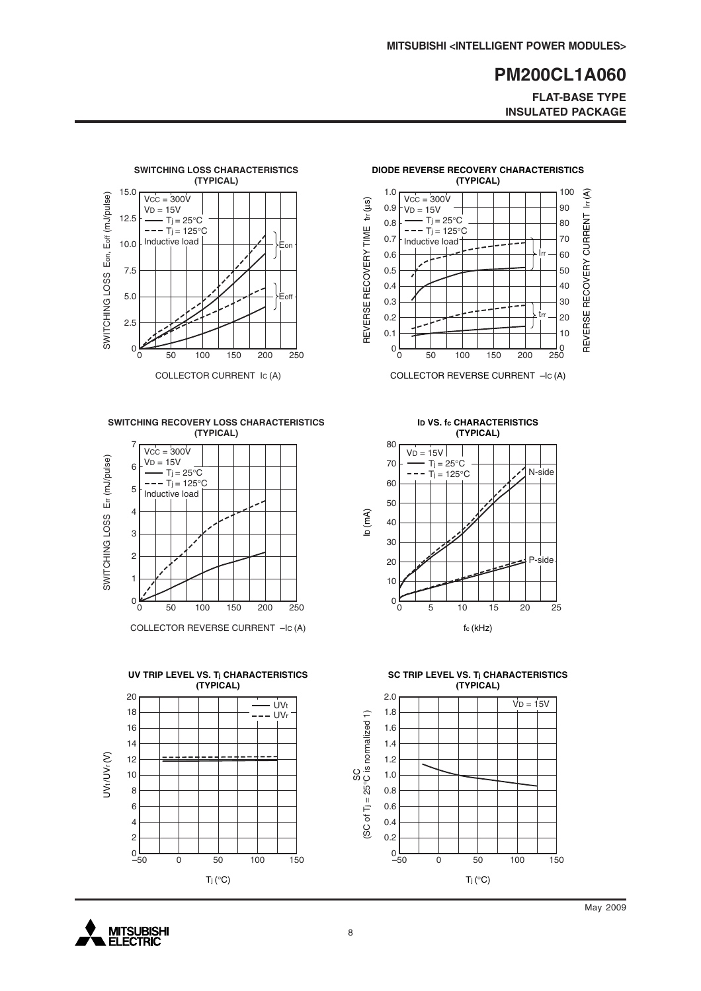**FLAT-BASE TYPE INSULATED PACKAGE**



**SWITCHING RECOVERY LOSS CHARACTERISTICS (TYPICAL)**



COLLECTOR REVERSE CURRENT –IC (A)





**DIODE REVERSE RECOVERY CHARACTERISTICS**

COLLECTOR REVERSE CURRENT –IC (A)

**ID VS. fc CHARACTERISTICS (TYPICAL)**



**SC TRIP LEVEL VS. Tj CHARACTERISTICS (TYPICAL)**